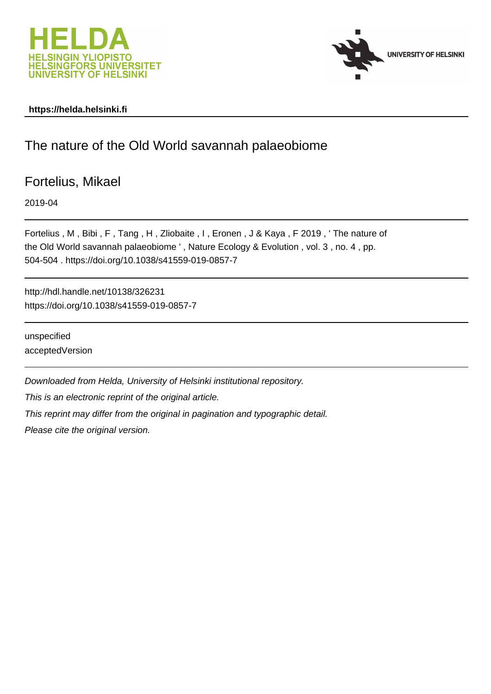



### **https://helda.helsinki.fi**

# The nature of the Old World savannah palaeobiome

Fortelius, Mikael

2019-04

Fortelius , M , Bibi , F , Tang , H , Zliobaite , I , Eronen , J & Kaya , F 2019 , ' The nature of the Old World savannah palaeobiome ' , Nature Ecology & Evolution , vol. 3 , no. 4 , pp. 504-504 . https://doi.org/10.1038/s41559-019-0857-7

http://hdl.handle.net/10138/326231 https://doi.org/10.1038/s41559-019-0857-7

unspecified acceptedVersion

Downloaded from Helda, University of Helsinki institutional repository.

This is an electronic reprint of the original article.

This reprint may differ from the original in pagination and typographic detail.

Please cite the original version.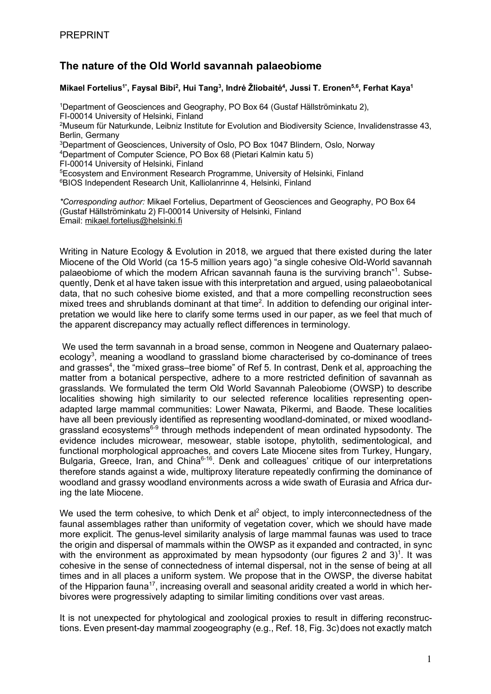## **The nature of the Old World savannah palaeobiome**

### **Mikael Fortelius1\* , Faysal Bibi2 , Hui Tang3 , Indrė Žliobaitė4 , Jussi T. Eronen5,6, Ferhat Kaya1**

<sup>1</sup>Department of Geosciences and Geography, PO Box 64 (Gustaf Hällströminkatu 2), FI-00014 University of Helsinki, Finland <sup>2</sup>Museum für Naturkunde, Leibniz Institute for Evolution and Biodiversity Science, Invalidenstrasse 43, Berlin, Germany 3 Department of Geosciences, University of Oslo, PO Box 1047 Blindern, Oslo, Norway 4 Department of Computer Science, PO Box 68 (Pietari Kalmin katu 5) FI-00014 University of Helsinki, Finland 5 Ecosystem and Environment Research Programme, University of Helsinki, Finland 6BIOS Independent Research Unit, Kalliolanrinne 4, Helsinki, Finland *\*Corresponding author:* Mikael Fortelius, Department of Geosciences and Geography, PO Box 64

(Gustaf Hällströminkatu 2) FI-00014 University of Helsinki, Finland Email: mikael.fortelius@helsinki.fi

Writing in Nature Ecology & Evolution in 2018, we argued that there existed during the later Miocene of the Old World (ca 15-5 million years ago) "a single cohesive Old-World savannah palaeobiome of which the modern African savannah fauna is the surviving branch"<sup>1</sup>. Subsequently, Denk et al have taken issue with this interpretation and argued, using palaeobotanical data, that no such cohesive biome existed, and that a more compelling reconstruction sees mixed trees and shrublands dominant at that time<sup>2</sup>. In addition to defending our original interpretation we would like here to clarify some terms used in our paper, as we feel that much of the apparent discrepancy may actually reflect differences in terminology.

We used the term savannah in a broad sense, common in Neogene and Quaternary palaeoecology<sup>3</sup>, meaning a woodland to grassland biome characterised by co-dominance of trees and grasses<sup>4</sup>, the "mixed grass-tree biome" of Ref 5. In contrast, Denk et al, approaching the matter from a botanical perspective, adhere to a more restricted definition of savannah as grasslands. We formulated the term Old World Savannah Paleobiome (OWSP) to describe localities showing high similarity to our selected reference localities representing openadapted large mammal communities: Lower Nawata, Pikermi, and Baode. These localities have all been previously identified as representing woodland-dominated, or mixed woodlandgrassland ecosystems<sup>6-9</sup> through methods independent of mean ordinated hypsodonty. The evidence includes microwear, mesowear, stable isotope, phytolith, sedimentological, and functional morphological approaches, and covers Late Miocene sites from Turkey, Hungary, Bulgaria, Greece, Iran, and China<sup>6-16</sup>. Denk and colleagues' critique of our interpretations therefore stands against a wide, multiproxy literature repeatedly confirming the dominance of woodland and grassy woodland environments across a wide swath of Eurasia and Africa during the late Miocene.

We used the term cohesive, to which Denk et  $a^2$  object, to imply interconnectedness of the faunal assemblages rather than uniformity of vegetation cover, which we should have made more explicit. The genus-level similarity analysis of large mammal faunas was used to trace the origin and dispersal of mammals within the OWSP as it expanded and contracted, in sync with the environment as approximated by mean hypsodonty (our figures 2 and 3)<sup>1</sup>. It was cohesive in the sense of connectedness of internal dispersal, not in the sense of being at all times and in all places a uniform system. We propose that in the OWSP, the diverse habitat of the Hipparion fauna<sup>17</sup>, increasing overall and seasonal aridity created a world in which herbivores were progressively adapting to similar limiting conditions over vast areas.

It is not unexpected for phytological and zoological proxies to result in differing reconstructions. Even present-day mammal zoogeography (e.g., Ref. 18, Fig. 3c)does not exactly match